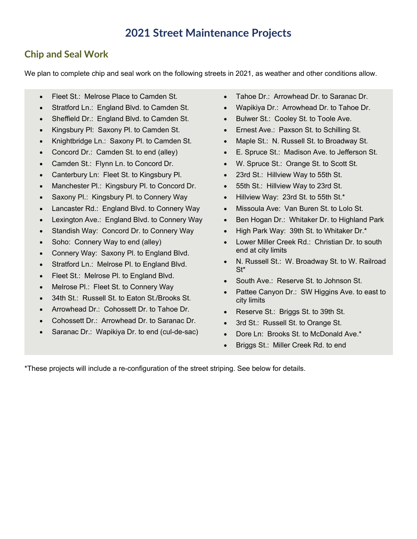# **2021 Street Maintenance Projects**

### **Chip and Seal Work**

We plan to complete chip and seal work on the following streets in 2021, as weather and other conditions allow.

- Fleet St.: Melrose Place to Camden St.
- Stratford Ln.: England Blvd. to Camden St.
- Sheffield Dr.: England Blvd. to Camden St.
- Kingsbury Pl: Saxony Pl. to Camden St.
- Knightbridge Ln.: Saxony Pl. to Camden St.
- Concord Dr.: Camden St. to end (alley)
- Camden St.: Flynn Ln. to Concord Dr.
- Canterbury Ln: Fleet St. to Kingsbury Pl.
- Manchester Pl.: Kingsbury Pl. to Concord Dr.
- Saxony Pl.: Kingsbury Pl. to Connery Way
- Lancaster Rd.: England Blvd. to Connery Way
- Lexington Ave.: England Blvd. to Connery Way
- Standish Way: Concord Dr. to Connery Way
- Soho: Connery Way to end (alley)
- Connery Way: Saxony Pl. to England Blvd.
- Stratford Ln.: Melrose Pl. to England Blvd.
- Fleet St.: Melrose Pl. to England Blvd.
- Melrose Pl.: Fleet St. to Connery Way
- 34th St.: Russell St. to Eaton St./Brooks St.
- Arrowhead Dr.: Cohossett Dr. to Tahoe Dr.
- Cohossett Dr.: Arrowhead Dr. to Saranac Dr.
- Saranac Dr.: Wapikiya Dr. to end (cul-de-sac)
- Tahoe Dr.: Arrowhead Dr. to Saranac Dr.
- Wapikiya Dr.: Arrowhead Dr. to Tahoe Dr.
- Bulwer St.: Cooley St. to Toole Ave.
- Ernest Ave.: Paxson St. to Schilling St.
- Maple St.: N. Russell St. to Broadway St.
- E. Spruce St.: Madison Ave. to Jefferson St.
- W. Spruce St.: Orange St. to Scott St.
- 23rd St.: Hillview Way to 55th St.
- 55th St.: Hillview Way to 23rd St.
- Hillview Way: 23rd St. to 55th St.\*
- Missoula Ave: Van Buren St. to Lolo St.
- Ben Hogan Dr.: Whitaker Dr. to Highland Park
- High Park Way: 39th St. to Whitaker Dr.\*
- Lower Miller Creek Rd.: Christian Dr. to south end at city limits
- N. Russell St.: W. Broadway St. to W. Railroad St\*
- South Ave.: Reserve St. to Johnson St.
- Pattee Canyon Dr.: SW Higgins Ave. to east to city limits
- Reserve St.: Briggs St. to 39th St.
- 3rd St.: Russell St. to Orange St.
- Dore Ln: Brooks St. to McDonald Ave.\*
- Briggs St.: Miller Creek Rd. to end

\*These projects will include a re-configuration of the street striping. See below for details.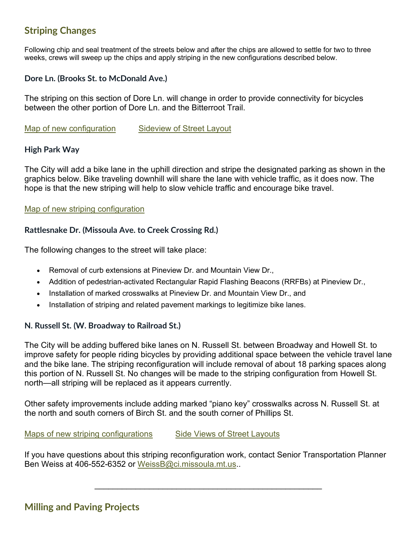## **Striping Changes**

Following chip and seal treatment of the streets below and after the chips are allowed to settle for two to three weeks, crews will sweep up the chips and apply striping in the new configurations described below.

#### **Dore Ln. (Brooks St. to McDonald Ave.)**

The striping on this section of Dore Ln. will change in order to provide connectivity for bicycles between the other portion of Dore Ln. and the Bitterroot Trail.

[Map of new configuration](http://www.ci.missoula.mt.us/DocumentCenter/View/57854/Dore-Ln-striping-Map) [Sideview of Street Layout](http://www.ci.missoula.mt.us/DocumentCenter/View/57853/Dore-Ln-Attachment-B)

#### **High Park Way**

The City will add a bike lane in the uphill direction and stripe the designated parking as shown in the graphics below. Bike traveling downhill will share the lane with vehicle traffic, as it does now. The hope is that the new striping will help to slow vehicle traffic and encourage bike travel.

#### [Map of new striping configuration](http://www.ci.missoula.mt.us/DocumentCenter/View/57855/High-Park-Striping-Attachment)

#### **Rattlesnake Dr. (Missoula Ave. to Creek Crossing Rd.)**

The following changes to the street will take place:

- Removal of curb extensions at Pineview Dr. and Mountain View Dr.,
- Addition of pedestrian-activated Rectangular Rapid Flashing Beacons (RRFBs) at Pineview Dr.,
- Installation of marked crosswalks at Pineview Dr. and Mountain View Dr., and
- Installation of striping and related pavement markings to legitimize bike lanes.

#### **N. Russell St. (W. Broadway to Railroad St.)**

The City will be adding buffered bike lanes on N. Russell St. between Broadway and Howell St. to improve safety for people riding bicycles by providing additional space between the vehicle travel lane and the bike lane. The striping reconfiguration will include removal of about 18 parking spaces along this portion of N. Russell St. No changes will be made to the striping configuration from Howell St. north—all striping will be replaced as it appears currently.

Other safety improvements include adding marked "piano key" crosswalks across N. Russell St. at the north and south corners of Birch St. and the south corner of Phillips St.

#### [Maps of new striping configurations](http://www.ci.missoula.mt.us/DocumentCenter/View/57856/N-Russell-Striping-Reconfig-Map) [Side Views of Street Layouts](http://www.ci.missoula.mt.us/DocumentCenter/View/57857/N-Russell-St-Attachment-B)

If you have questions about this striping reconfiguration work, contact Senior Transportation Planner Ben Weiss at 406-552-6352 or [WeissB@ci.missoula.mt.us.](mailto:WeissB@ci.missoula.mt.us).

\_\_\_\_\_\_\_\_\_\_\_\_\_\_\_\_\_\_\_\_\_\_\_\_\_\_\_\_\_\_\_\_\_\_\_\_\_\_\_\_\_\_\_\_\_\_\_\_\_\_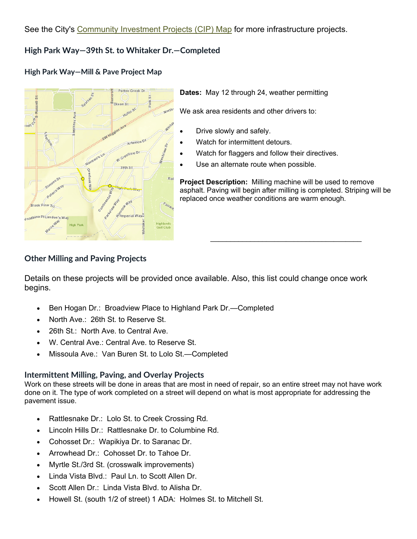See the City's [Community Investment Projects \(CIP\) Map](https://missoulamaps.ci.missoula.mt.us/portal/apps/sites/#/public) for more infrastructure projects.

#### **High Park Way—39th St. to Whitaker Dr.—Completed**



#### **High Park Way—Mill & Pave Project Map**

**Dates:** May 12 through 24, weather permitting

We ask area residents and other drivers to:

- Drive slowly and safely.
- Watch for intermittent detours.
- Watch for flaggers and follow their directives.
- Use an alternate route when possible.

**Project Description:** Milling machine will be used to remove asphalt. Paving will begin after milling is completed. Striping will be replaced once weather conditions are warm enough.

\_\_\_\_\_\_\_\_\_\_\_\_\_\_\_\_\_\_\_\_\_\_\_\_\_\_\_\_\_\_\_\_\_\_\_\_\_\_

#### **Other Milling and Paving Projects**

Details on these projects will be provided once available. Also, this list could change once work begins.

- Ben Hogan Dr.: Broadview Place to Highland Park Dr.—Completed
- North Ave : 26th St. to Reserve St.
- 26th St.: North Ave. to Central Ave.
- W. Central Ave.: Central Ave. to Reserve St.
- Missoula Ave.: Van Buren St. to Lolo St.—Completed

#### **Intermittent Milling, Paving, and Overlay Projects**

Work on these streets will be done in areas that are most in need of repair, so an entire street may not have work done on it. The type of work completed on a street will depend on what is most appropriate for addressing the pavement issue.

- Rattlesnake Dr.: Lolo St. to Creek Crossing Rd.
- Lincoln Hills Dr.: Rattlesnake Dr. to Columbine Rd.
- Cohosset Dr.: Wapikiya Dr. to Saranac Dr.
- Arrowhead Dr.: Cohosset Dr. to Tahoe Dr.
- Myrtle St./3rd St. (crosswalk improvements)
- Linda Vista Blvd.: Paul Ln. to Scott Allen Dr.
- Scott Allen Dr.: Linda Vista Blvd. to Alisha Dr.
- Howell St. (south 1/2 of street) 1 ADA: Holmes St. to Mitchell St.